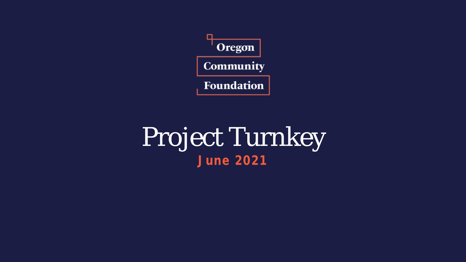

## Project Turnkey **June 2021**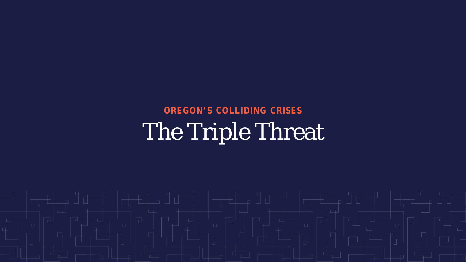## The Triple Threat **OREGON'S COLLIDING CRISES**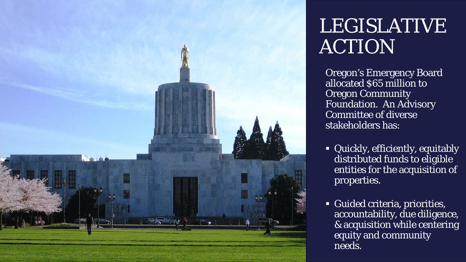

## LEGISLATIVE ACTION

Oregon's Emergency Board allocated \$65 million to **Oregon Community** Foundation. An Advisory Committee of diverse stakeholders has:

- Quickly, efficiently, equitably distributed funds to eligible entities for the acquisition of properties.
- Guided criteria, priorities, accountability, due diligence, & acquisition while centering equity and community needs.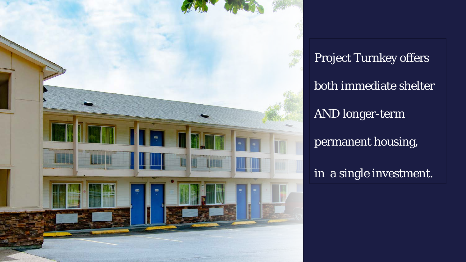

Project Turnkey offers both immediate shelter AND longer-term permanent housing, in a single investment.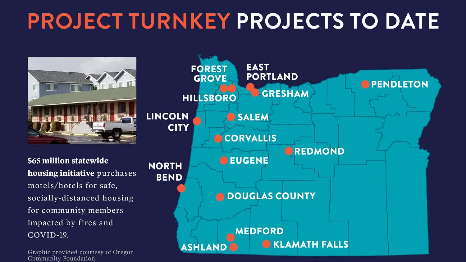# **PROJECT TURNKEY PROJECTS TO DATE**



\$65 million statewide housing initiative purchases motels/hotels for safe, socially-distanced housing for community members impacted by fires and COVID-19.

Graphic provided courtesy of Oregon Community Foundation.

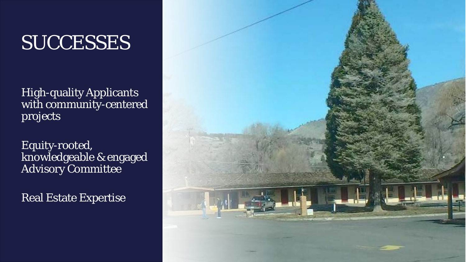## **SUCCESSES**

High-quality Applicants with community-centered projects

Equity-rooted, knowledgeable & engaged Advisory Committee

Real Estate Expertise

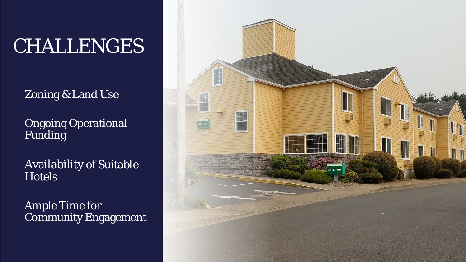# CHALLENGES

Zoning & Land Use

**Ongoing Operational** Funding

Availability of Suitable **Hotels** 

Ample Time for Community Engagement

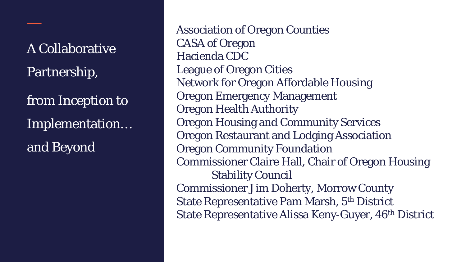A Collaborative Partnership,

from Inception to Implementation… and Beyond

Association of Oregon Counties CASA of Oregon Hacienda CDC League of Oregon Cities Network for Oregon Affordable Housing Oregon Emergency Management Oregon Health Authority Oregon Housing and Community Services Oregon Restaurant and Lodging Association Oregon Community Foundation Commissioner Claire Hall, Chair of Oregon Housing Stability Council Commissioner Jim Doherty, Morrow County State Representative Pam Marsh, 5th District State Representative Alissa Keny-Guyer, 46th District